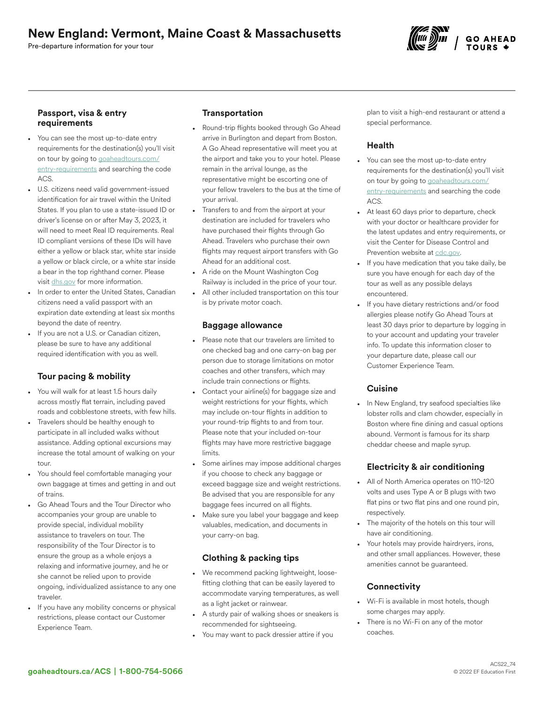# New England: Vermont, Maine Coast & Massachusetts

Pre-departure information for your tour

#### Passport, visa & entry requirements

- You can see the most up-to-date entry requirements for the destination(s) you'll visit on tour by going to [goaheadtours.com/](/entry-requirements?tourCode=ACS) [entry-requirements](/entry-requirements?tourCode=ACS) and searching the code ACS.
- U.S. citizens need valid government-issued identification for air travel within the United States. If you plan to use a state-issued ID or driver's license on or after May 3, 2023, it will need to meet Real ID requirements. Real ID compliant versions of these IDs will have either a yellow or black star, white star inside a yellow or black circle, or a white star inside a bear in the top righthand corner. Please visit [dhs.gov](https://www.dhs.gov/real-id-frequently-asked-questions) for more information.
- In order to enter the United States, Canadian citizens need a valid passport with an expiration date extending at least six months beyond the date of reentry.
- If you are not a U.S. or Canadian citizen, please be sure to have any additional required identification with you as well.

# Tour pacing & mobility

- You will walk for at least 1.5 hours daily across mostly flat terrain, including paved roads and cobblestone streets, with few hills.
- Travelers should be healthy enough to participate in all included walks without assistance. Adding optional excursions may increase the total amount of walking on your tour.
- You should feel comfortable managing your own baggage at times and getting in and out of trains.
- Go Ahead Tours and the Tour Director who accompanies your group are unable to provide special, individual mobility assistance to travelers on tour. The responsibility of the Tour Director is to ensure the group as a whole enjoys a relaxing and informative journey, and he or she cannot be relied upon to provide ongoing, individualized assistance to any one traveler.
- If you have any mobility concerns or physical restrictions, please contact our Customer Experience Team.

## **Transportation**

- Round-trip flights booked through Go Ahead arrive in Burlington and depart from Boston. A Go Ahead representative will meet you at the airport and take you to your hotel. Please remain in the arrival lounge, as the representative might be escorting one of your fellow travelers to the bus at the time of your arrival.
- Transfers to and from the airport at your destination are included for travelers who have purchased their flights through Go Ahead. Travelers who purchase their own flights may request airport transfers with Go Ahead for an additional cost.
- A ride on the Mount Washington Cog Railway is included in the price of your tour.
- All other included transportation on this tour is by private motor coach.

#### Baggage allowance

- Please note that our travelers are limited to one checked bag and one carry-on bag per person due to storage limitations on motor coaches and other transfers, which may include train connections or flights.
- Contact your airline(s) for baggage size and weight restrictions for your flights, which may include on-tour flights in addition to your round-trip flights to and from tour. Please note that your included on-tour flights may have more restrictive baggage limits.
- Some airlines may impose additional charges if you choose to check any baggage or exceed baggage size and weight restrictions. Be advised that you are responsible for any baggage fees incurred on all flights.
- Make sure you label your baggage and keep valuables, medication, and documents in your carry-on bag.

# Clothing & packing tips

- We recommend packing lightweight, loosefitting clothing that can be easily layered to accommodate varying temperatures, as well as a light jacket or rainwear.
- A sturdy pair of walking shoes or sneakers is recommended for sightseeing.
- You may want to pack dressier attire if you

plan to visit a high-end restaurant or attend a special performance.

## Health

- You can see the most up-to-date entry requirements for the destination(s) you'll visit on tour by going to [goaheadtours.com/](/entry-requirements?tourCode=ACS) [entry-requirements](/entry-requirements?tourCode=ACS) and searching the code ACS.
- At least 60 days prior to departure, check with your doctor or healthcare provider for the latest updates and entry requirements, or visit the Center for Disease Control and Prevention website at [cdc.gov.](https://www.cdc.gov/)
- If you have medication that you take daily, be sure you have enough for each day of the tour as well as any possible delays encountered.
- If you have dietary restrictions and/or food allergies please notify Go Ahead Tours at least 30 days prior to departure by logging in to your account and updating your traveler info. To update this information closer to your departure date, please call our Customer Experience Team.

### **Cuisine**

• In New England, try seafood specialties like lobster rolls and clam chowder, especially in Boston where fine dining and casual options abound. Vermont is famous for its sharp cheddar cheese and maple syrup.

# Electricity & air conditioning

- All of North America operates on 110-120 volts and uses Type A or B plugs with two flat pins or two flat pins and one round pin, respectively.
- The majority of the hotels on this tour will have air conditioning.
- Your hotels may provide hairdryers, irons, and other small appliances. However, these amenities cannot be guaranteed.

# **Connectivity**

- Wi-Fi is available in most hotels, though some charges may apply.
- There is no Wi-Fi on any of the motor coaches.